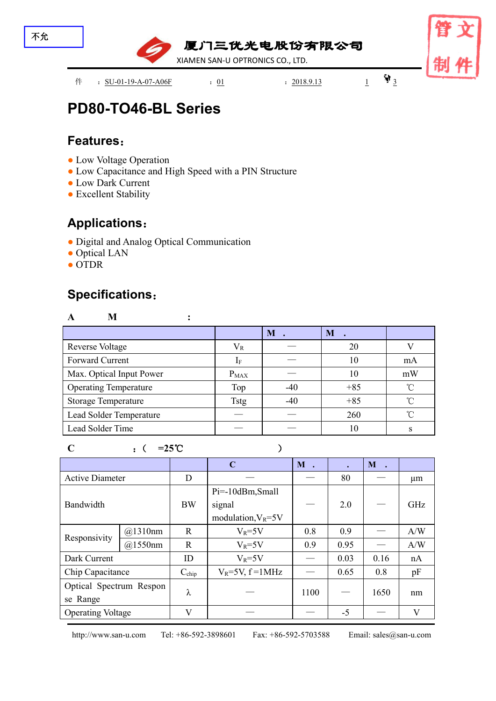

# **PD80-TO46-BL Series**

### **Features**:

- Low Voltage Operation
- Low Capacitance and High Speed with a PIN Structure
- Low Dark Current
- Excellent Stability

### **Applications**:

- Digital and Analog Optical Communication
- Optical LAN
- OTDR

## **Specifications**:

| M                            |                |       |       |            |
|------------------------------|----------------|-------|-------|------------|
|                              |                | $M$ . | M     |            |
| <b>Reverse Voltage</b>       | $\rm V_R$      |       | 20    |            |
| Forward Current              | 1 <sub>F</sub> |       | 10    | mA         |
| Max. Optical Input Power     | $P_{MAX}$      |       | 10    | mW         |
| <b>Operating Temperature</b> | Top            | $-40$ | $+85$ | $^{\circ}$ |
| <b>Storage Temperature</b>   | <b>Tstg</b>    | $-40$ | $+85$ | $^{\circ}$ |
| Lead Solder Temperature      |                |       | 260   | $\sim$     |
| Lead Solder Time             |                |       | 10    |            |

#### **C** :( **=25**℃ )

**C M . . M .** Active Diameter D — — 80 — µm Bandwidth  $B(W | signal) = 2.0$ Pi=-10dBm,Small signal signal  $\begin{vmatrix} - & 2.0 & - \end{vmatrix}$  GHz Responsivity @1310nm R |  $V_R$ =5V | 0.8 | 0.9 |  $-$  | A/W | @1550nm | R | V<sub>R</sub>=5V | 0.9 | 0.95 | — | A/W | Dark Current  $\vert$  ID  $\vert$  V<sub>R</sub>=5V  $\vert$   $-$  | 0.03 | 0.16 | nA | Chip Capacitance Cchip VR=5V, f =1MHz — 0.65 0.8 pF Optical Spectrum Respon  $\Big|$   $\lambda$ se Range  $\lambda$  |  $-$  | 1100 |  $-$  | 1650 | nm | Operating Voltage V — — -5 — V

http://www.san-u.com Tel: +86-592-3898601 Fax: +86-592-5703588 Email: sales@san-u.com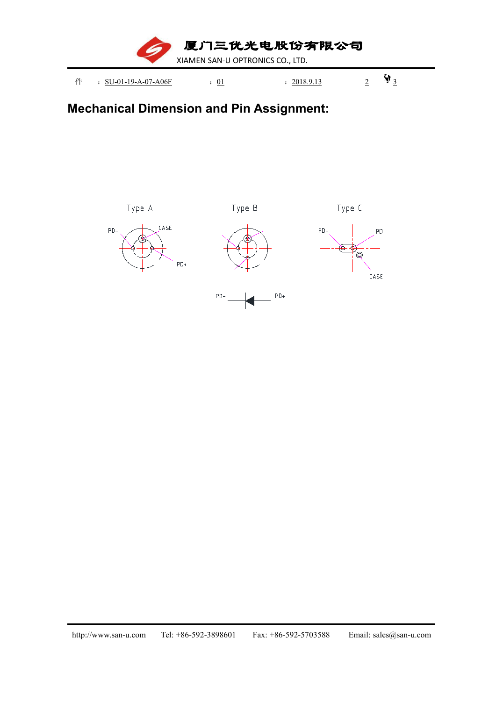

## **Mechanical Dimension and Pin Assignment:**